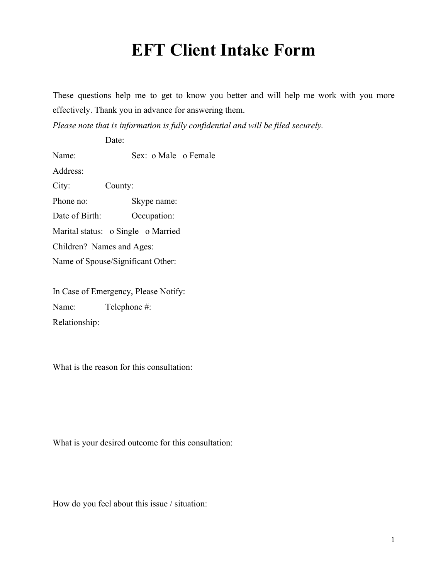## **EFT Client Intake Form**

These questions help me to get to know you better and will help me work with you more effectively. Thank you in advance for answering them.

*Please note that is information is fully confidential and will be filed securely.*

Date:

Name: Sex: o Male o Female

Address:

City: County: Phone no: Skype name: Date of Birth: Occupation: Marital status: o Single o Married Children? Names and Ages: Name of Spouse/Significant Other:

In Case of Emergency, Please Notify: Name: Telephone #: Relationship:

What is the reason for this consultation:

What is your desired outcome for this consultation:

How do you feel about this issue / situation: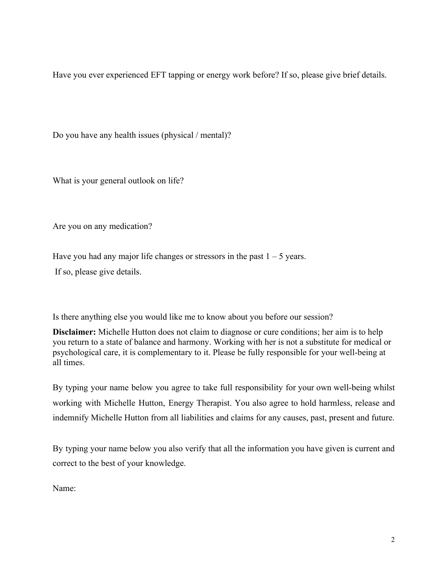Have you ever experienced EFT tapping or energy work before? If so, please give brief details.

Do you have any health issues (physical / mental)?

What is your general outlook on life?

Are you on any medication?

Have you had any major life changes or stressors in the past  $1 - 5$  years. If so, please give details.

Is there anything else you would like me to know about you before our session?

**Disclaimer:** Michelle Hutton does not claim to diagnose or cure conditions; her aim is to help you return to a state of balance and harmony. Working with her is not a substitute for medical or psychological care, it is complementary to it. Please be fully responsible for your well-being at all times.

By typing your name below you agree to take full responsibility for your own well-being whilst working with Michelle Hutton, Energy Therapist. You also agree to hold harmless, release and indemnify Michelle Hutton from all liabilities and claims for any causes, past, present and future.

By typing your name below you also verify that all the information you have given is current and correct to the best of your knowledge.

Name: